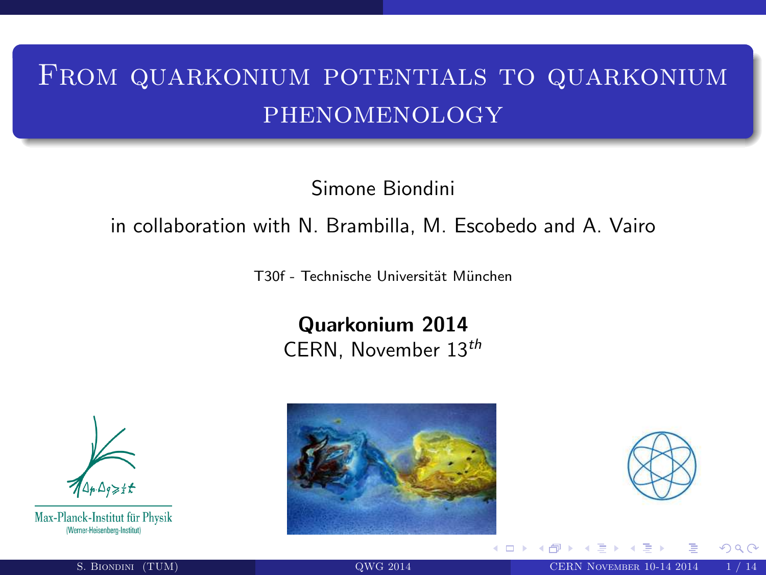# From quarkonium potentials to quarkonium phenomenology

Simone Biondini

### in collaboration with N. Brambilla, M. Escobedo and A. Vairo

T30f - Technische Universität München

Quarkonium 2014 CERN, November 13th



Max-Planck-Institut für Physik (Werner-Heisenberg-Institut)





4 0 F

<span id="page-0-0"></span>nan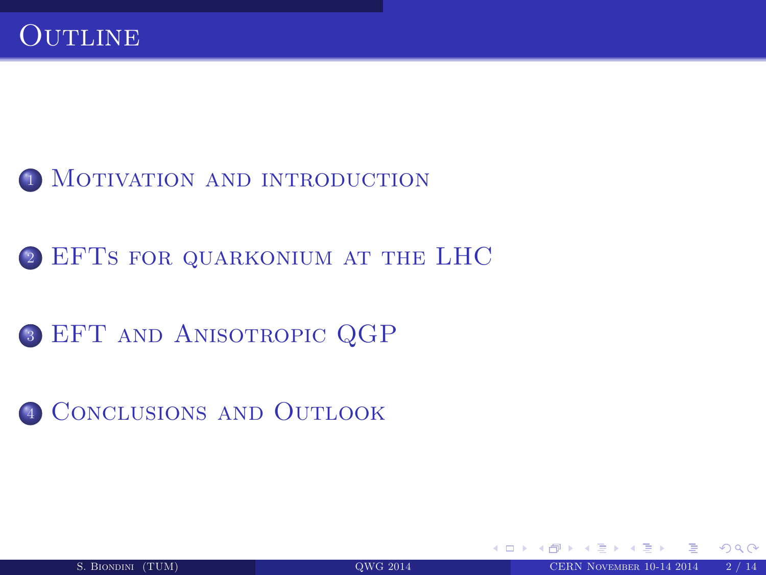

- 2 EFTS FOR QUARKONIUM AT THE LHC
- <sup>3</sup> [EFT and Anisotropic QGP](#page-9-0)
- <sup>4</sup> [Conclusions and Outlook](#page-13-0)

4 0 8 4

<span id="page-1-0"></span> $\cap$  a  $\cap$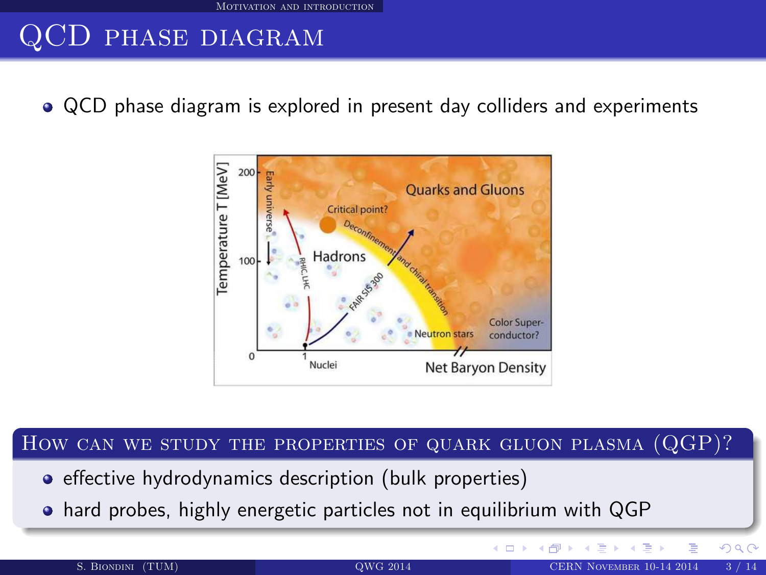## QCD phase diagram

QCD phase diagram is explored in present day colliders and experiments



#### How can we study the properties of quark gluon plasma (QGP)?

- **•** effective hydrodynamics description (bulk properties)
- hard probes, highly energetic particles not in equilibrium with QGP

<span id="page-2-0"></span> $\Omega$ 

E K

**K ロ ▶ K 伊 ▶**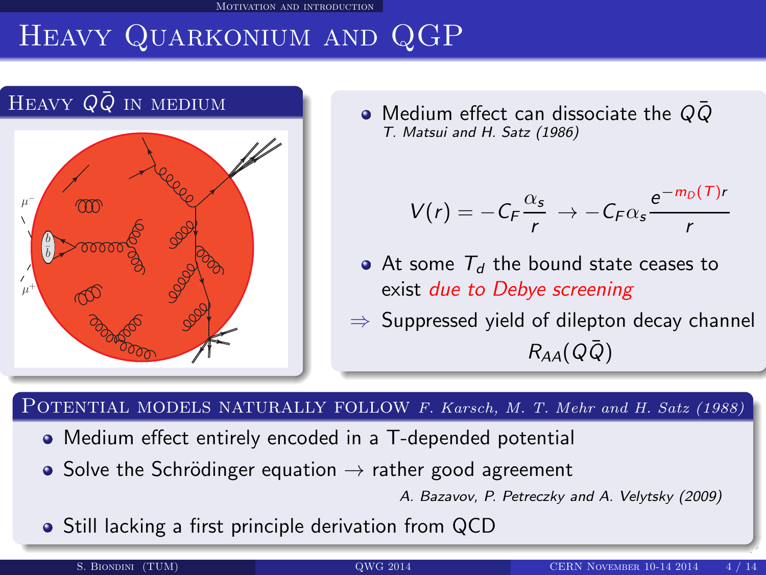[Motivation and introduction](#page-3-0)

# Heavy Quarkonium and QGP



 $\bullet$  Medium effect can dissociate the QQ T. Matsui and H. Satz (1986)

$$
V(r) = -C_F \frac{\alpha_s}{r} \rightarrow -C_F \alpha_s \frac{e^{-m_D(T)r}}{r}
$$

- At some  $T<sub>d</sub>$  the bound state ceases to exist due to Debye screening
- $\Rightarrow$  Suppressed yield of dilepton decay channel  $R_{AA}(Q\bar{Q})$

POTENTIAL MODELS NATURALLY FOLLOW F. Karsch, M. T. Mehr and H. Satz (1988)

- Medium effect entirely encoded in a T-depended potential
- Solve the Schrödinger equation  $\rightarrow$  rather good agreement

<span id="page-3-0"></span>A. Bazavov, P. Petreczky and A. Velytsky (2009)

• Still lacking a first principle derivation from QCD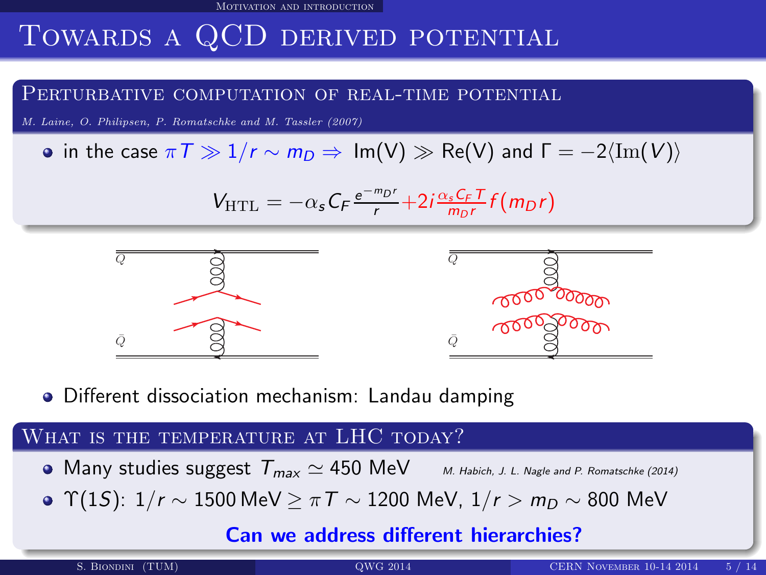[Motivation and introduction](#page-4-0)

## Towards a QCD derived potential

#### PERTURBATIVE COMPUTATION OF REAL-TIME POTENTIAL

M. Laine, O. Philipsen, P. Romatschke and M. Tassler (2007)

• in the case  $\pi \mathcal{T} \gg 1/r \sim m_D \Rightarrow \text{Im}(V) \gg \text{Re}(V)$  and  $\mathcal{T} = -2\langle \text{Im}(V) \rangle$ 

$$
V_{\text{HTL}} = -\alpha_s C_F \frac{e^{-m_D r}}{r} + 2i \frac{\alpha_s C_F T}{m_D r} f(m_D r)
$$



Different dissociation mechanism: Landau damping

### WHAT IS THE TEMPERATURE AT LHC TODAY?

- Many studies suggest  $T_{max} \simeq 450 \text{ MeV}$  M. Habich, J. L. Nagle and P. Romatschke (2014)
- Υ(15):  $1/r \sim 1500$  MeV  $> πT \sim 1200$  MeV,  $1/r > m_D \sim 800$  MeV

### <span id="page-4-0"></span>Can we address different h[ier](#page-3-0)[arc](#page-5-0)[h](#page-3-0)[ie](#page-4-0)[s?](#page-5-0)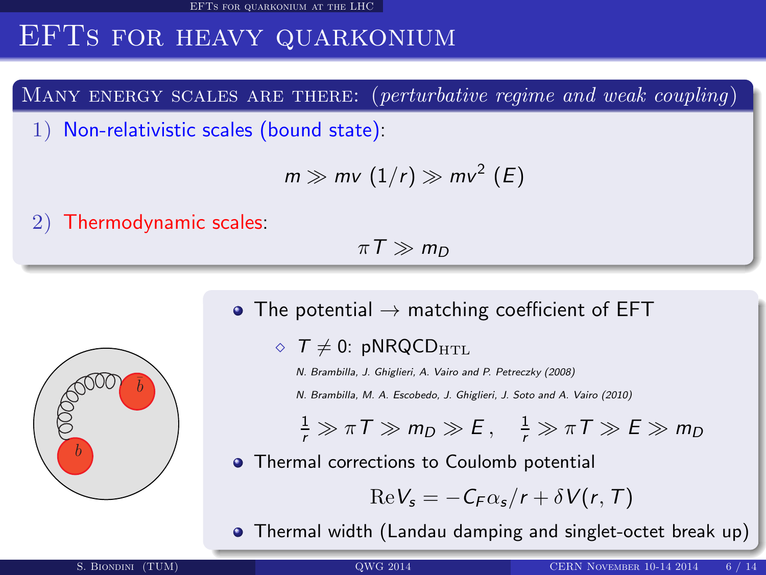[EFTs for quarkonium at the LHC](#page-5-0)

## EFTs for heavy quarkonium

MANY ENERGY SCALES ARE THERE: (perturbative regime and weak coupling)

1) Non-relativistic scales (bound state):

$$
m \gg mv\ (1/r) \gg mv^2\ (E)
$$

2) Thermodynamic scales:

 $\pi T \gg m_D$ 



- The potential  $\rightarrow$  matching coefficient of EFT
	- $\Diamond$  T  $\neq$  0: pNRQCD<sub>HTL</sub>
		- N. Brambilla, J. Ghiglieri, A. Vairo and P. Petreczky (2008)

N. Brambilla, M. A. Escobedo, J. Ghiglieri, J. Soto and A. Vairo (2010)

 $\frac{1}{r} \gg \pi T \gg m_D \gg E$ ,  $\frac{1}{r} \gg \pi T \gg E \gg m_D$ 

**•** Thermal corrections to Coulomb potential

<span id="page-5-0"></span>
$$
\text{Re}\,V_s=-\,C_F\alpha_s/r+\delta\,V(r,\,T)
$$

Thermal width (Landau da[mpin](#page-4-0)[g](#page-6-0) [an](#page-4-0)[d](#page-5-0) [si](#page-6-0)[n](#page-4-0)[gl](#page-5-0)[e](#page-8-0)[t-](#page-9-0)[o](#page-4-0)[ct](#page-5-0)[e](#page-8-0)[t](#page-9-0) [br](#page-0-0)[eak](#page-13-0) up)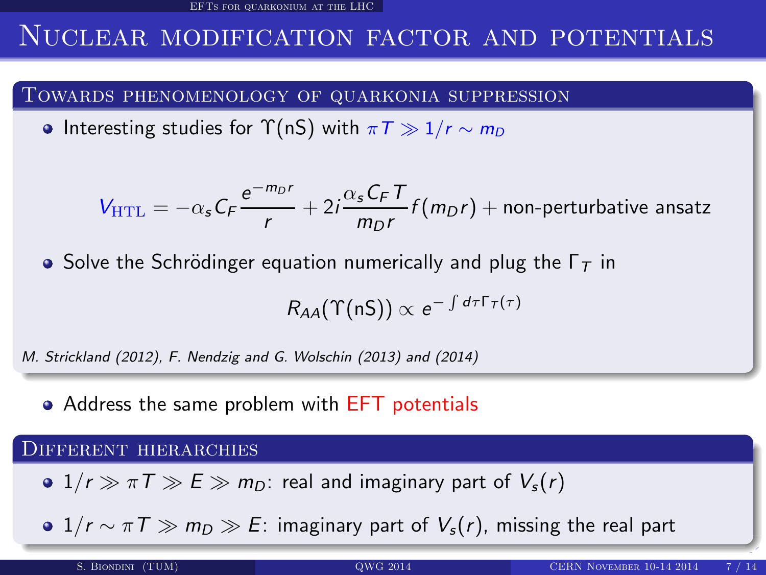[EFTs for quarkonium at the LHC](#page-6-0)

### NUCLEAR MODIFICATION FACTOR AND POTENTIALS

#### Towards phenomenology of quarkonia suppression

• Interesting studies for  $\Upsilon(nS)$  with  $\pi T \gg 1/r \sim m_D$ 

$$
V_{\text{HTL}} = -\alpha_s C_F \frac{e^{-m_D r}}{r} + 2i \frac{\alpha_s C_F T}{m_D r} f(m_D r) + \text{non-perturbative ansatz}
$$

• Solve the Schrödinger equation numerically and plug the  $\Gamma_T$  in

<span id="page-6-0"></span>
$$
R_{AA}(\Upsilon(nS)) \propto e^{-\int d\tau \Gamma_T(\tau)}
$$

M. Strickland (2012), F. Nendzig and G. Wolschin (2013) and (2014)

• Address the same problem with EFT potentials

#### Different hierarchies

 $\bullet$  1/r  $\gg \pi T \gg E \gg m_D$ : real and imaginary part of  $V_s(r)$ 

•  $1/r \sim \pi T \gg m_D \gg E$ : imaginary part of  $V_s(r)$ , missing the real part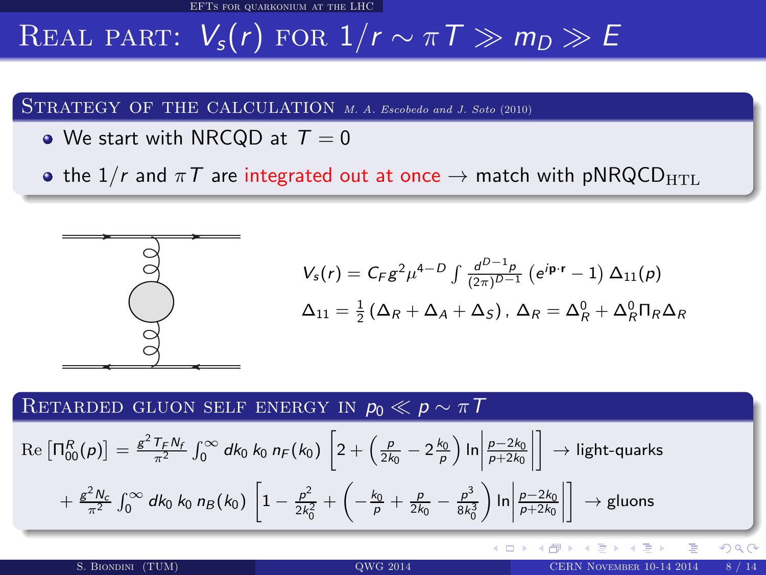[EFTs for quarkonium at the LHC](#page-7-0)

# REAL PART:  $V_s(r)$  for  $1/r \sim \pi T \gg m_D \gg E$

STRATEGY OF THE CALCULATION M. A. Escobedo and J. Soto (2010)

• We start with NRCQD at  $T = 0$ 

• the  $1/r$  and  $\pi T$  are integrated out at once  $\rightarrow$  match with pNRQCD<sub>HTL</sub>



$$
V_s(r) = C_F g^2 \mu^{4-D} \int \frac{d^{D-1} \rho}{(2\pi)^{D-1}} \left( e^{i\mathbf{p} \cdot \mathbf{r}} - 1 \right) \Delta_{11}(p)
$$
  

$$
\Delta_{11} = \frac{1}{2} \left( \Delta_R + \Delta_A + \Delta_S \right), \ \Delta_R = \Delta_R^0 + \Delta_R^0 \Pi_R \Delta_R
$$

**∢ ロ ▶ ∢ 伊 ▶** 

### RETARDED GLUON SELF ENERGY IN  $p_0 \ll p \sim \pi T$

$$
\operatorname{Re}\left[\Pi_{00}^{R}(\rho)\right] = \frac{g^{2}T_{F}N_{f}}{\pi^{2}} \int_{0}^{\infty} dk_{0} k_{0} n_{F}(k_{0}) \left[2 + \left(\frac{\rho}{2k_{0}} - 2\frac{k_{0}}{\rho}\right) \ln\left|\frac{\rho - 2k_{0}}{\rho + 2k_{0}}\right|\right] \to \text{light-quarks}
$$

$$
+ \frac{g^{2}N_{c}}{\pi^{2}} \int_{0}^{\infty} dk_{0} k_{0} n_{B}(k_{0}) \left[1 - \frac{\rho^{2}}{2k_{0}^{2}} + \left(-\frac{k_{0}}{\rho} + \frac{\rho}{2k_{0}} - \frac{\rho^{3}}{8k_{0}^{3}}\right) \ln\left|\frac{\rho - 2k_{0}}{\rho + 2k_{0}}\right|\right] \to \text{gluons}
$$

<span id="page-7-0"></span>つくぐ

4 E X 4 E X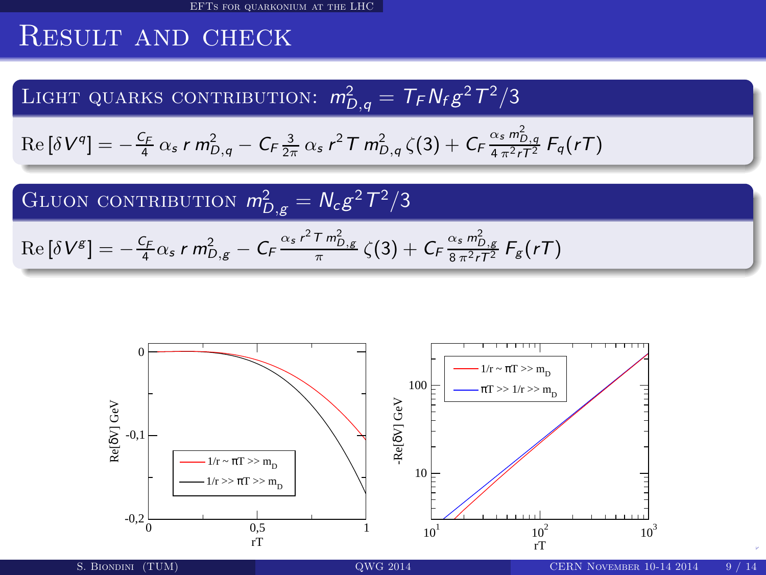## Result and check

LIGHT QUARKS CONTRIBUTION:  $m_{D,q}^2 = T_F N_f g^2 T^2/3$ 

$$
\operatorname{Re} \left[ \delta V^{q} \right] = - \frac{c_F}{4} \, \alpha_s \, r \, m_{D,q}^2 - C_F \frac{3}{2\pi} \, \alpha_s \, r^2 \, T \, m_{D,q}^2 \, \zeta(3) + C_F \frac{\alpha_s \, m_{D,q}^2}{4 \, \pi^2 r T^2} \, F_q(rT)
$$

GLUON CONTRIBUTION  $m_{D,g}^2 = N_c g^2 T^2/3$  $\text{Re} \left[ \delta V^{\mathcal{S}} \right] = - \frac{\mathcal{C}_{\mathcal{F}}}{4} \alpha_{s} \, r \, m_{D,g}^{2} - \mathcal{C}_{\mathcal{F}} \frac{\alpha_{s} \, r^{2} \, T \, m_{D,g}^{2}}{\pi} \, \zeta(3) + \mathcal{C}_{\mathcal{F}} \frac{\alpha_{s} \, m_{D,g}^{2}}{8 \, \pi^{2} \, r \, T^{2}} \, \mathcal{F}_{\mathcal{S}}(r \mathcal{T})$ 

<span id="page-8-0"></span>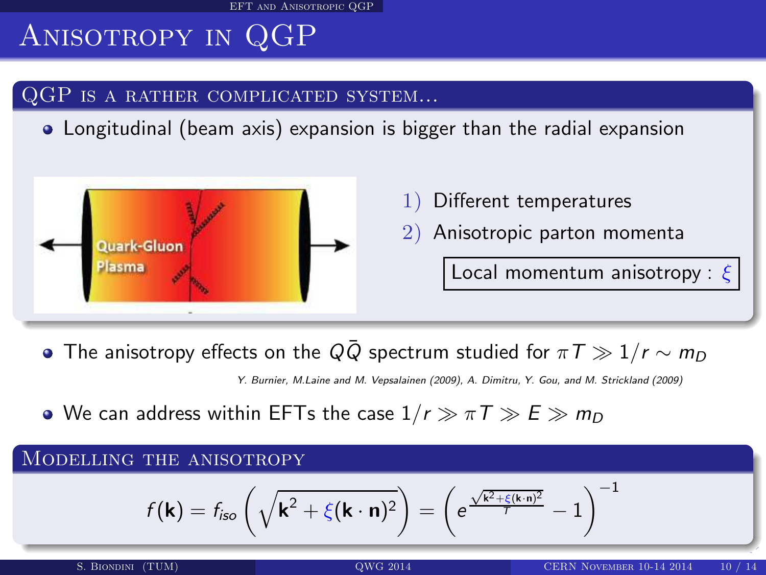[EFT and Anisotropic QGP](#page-9-0)

# Anisotropy in QGP

### QGP IS A RATHER COMPLICATED SYSTEM...

Longitudinal (beam axis) expansion is bigger than the radial expansion



- Different temperatures
- 2) Anisotropic parton momenta

<span id="page-9-0"></span>Local momentum anisotropy :  $\xi$ 

• The anisotropy effects on the Q $\overline{Q}$  spectrum studied for  $\pi T \gg 1/r \sim m_D$ 

Y. Burnier, M.Laine and M. Vepsalainen (2009), A. Dimitru, Y. Gou, and M. Strickland (2009)

• We can address within EFTs the case  $1/r \gg \pi T \gg E \gg m_D$ 

#### MODELLING THE ANISOTROPY

$$
f(\mathbf{k}) = f_{\mathsf{iso}}\left(\sqrt{\mathbf{k}^2 + \xi(\mathbf{k} \cdot \mathbf{n})^2}\right) = \left(e^{\frac{\sqrt{\mathbf{k}^2 + \xi(\mathbf{k} \cdot \mathbf{n})^2}}{7}} - 1\right)^{-1}
$$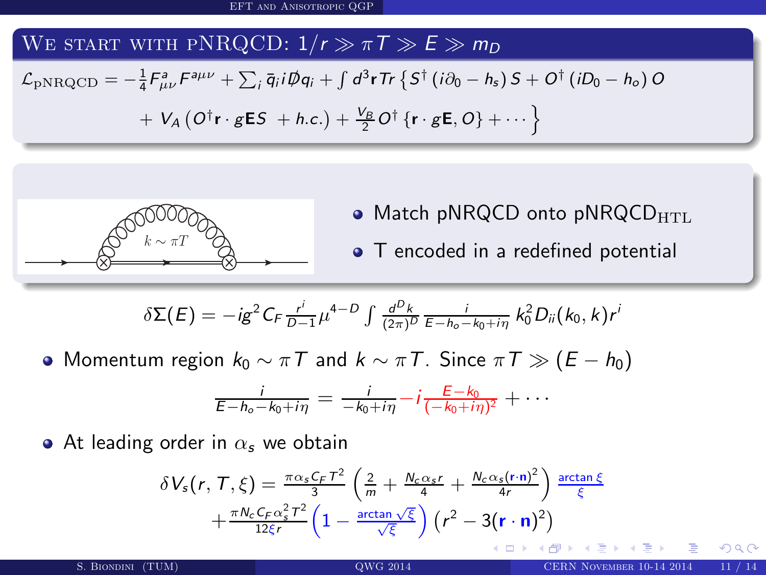### WE START WITH PNRQCD:  $1/r \gg \pi T \gg E \gg m_D$

$$
\mathcal{L}_{\text{pNRQCD}} = -\frac{1}{4} F_{\mu\nu}^a F^{a\mu\nu} + \sum_i \bar{q}_i i \not{\!\!D} q_i + \int d^3 \mathbf{r} \, \text{Tr} \left\{ S^{\dagger} \left( i \partial_0 - h_s \right) S + O^{\dagger} \left( i D_0 - h_o \right) O \right. \\ + \left. V_A \left( O^{\dagger} \mathbf{r} \cdot g \mathbf{E} S + h.c. \right) + \frac{V_B}{2} O^{\dagger} \left\{ \mathbf{r} \cdot g \mathbf{E}, O \right\} + \cdots \right\}
$$



- $\bullet$  Match pNRQCD onto pNRQCD $_{\rm HTL}$
- T encoded in a redefined potential

( □ ) ( <sub>①</sub>

$$
\delta \Sigma(E) = -ig^2 C_F \frac{r^i}{D-1} \mu^{4-D} \int \frac{d^D k}{(2\pi)^D} \frac{i}{E - h_o - k_0 + i\eta} k_0^2 D_{ii}(k_0, k) r^i
$$

 $\bullet$  Momentum region  $k_0 \sim \pi T$  and  $k \sim \pi T$ . Since  $\pi T \gg (E - h_0)$ 

$$
\frac{i}{E-h_o-k_0+i\eta}=\frac{i}{-k_0+i\eta}-i\frac{E-k_0}{(-k_0+i\eta)^2}+\cdots
$$

• At leading order in  $\alpha_s$  we obtain

$$
\delta V_s(r, T, \xi) = \frac{\pi \alpha_s C_F T^2}{3} \left( \frac{2}{m} + \frac{N_c \alpha_s r}{4} + \frac{N_c \alpha_s (r \cdot n)^2}{4r} \right) \frac{\arctan \xi}{\xi}
$$

$$
+ \frac{\pi N_c C_F \alpha_s^2 T^2}{12\xi r} \left( 1 - \frac{\arctan \sqrt{\xi}}{\sqrt{\xi}} \right) \left( r^2 - 3(r \cdot n)^2 \right)
$$

<span id="page-10-0"></span>つひい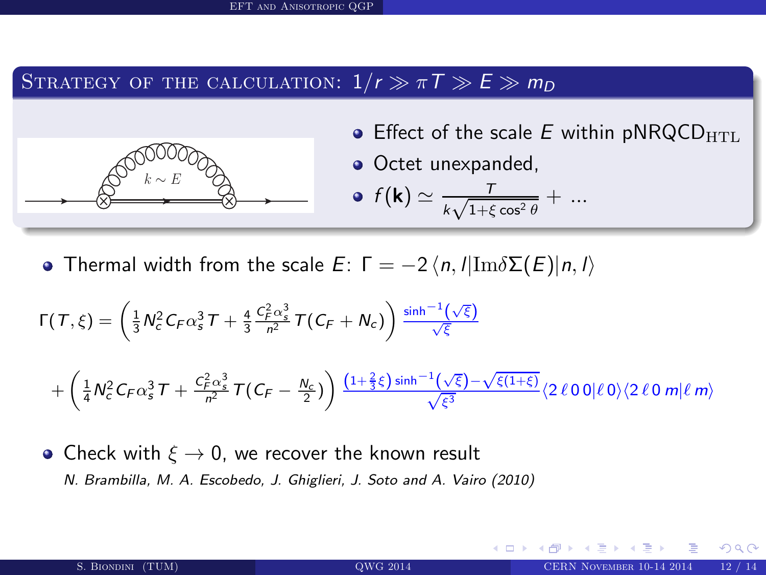### STRATEGY OF THE CALCULATION:  $1/r \gg \pi T \gg E \gg m_D$



**•** Effect of the scale E within pNRQCD $_{\text{HTL}}$ 

4 0 8 4

• Octet unexpanded,

• 
$$
f(\mathbf{k}) \simeq \frac{T}{k\sqrt{1+\xi\cos^2\theta}} + \dots
$$

**•** Thermal width from the scale  $E: \Gamma = -2 \langle n, l | \text{Im} \delta \Sigma(E) | n, l \rangle$ 

$$
\Gamma(T,\xi) = \left(\frac{1}{3}N_c^2C_F\alpha_s^3T + \frac{4}{3}\frac{C_F^2\alpha_s^3}{n^2}T(C_F + N_c)\right)\frac{\sinh^{-1}(\sqrt{\xi})}{\sqrt{\xi}}
$$

$$
+ \left(\frac{1}{4}N_c^2C_F\alpha_s^3T + \frac{C_F^2\alpha_s^3}{n^2}T(C_F - \frac{N_c}{2})\right)\frac{(1+\frac{2}{3}\xi)\sinh^{-1}(\sqrt{\xi})-\sqrt{\xi(1+\xi)}}{\sqrt{\xi^3}}(2\ell00|\ell0\rangle\langle2\ell0m|\ell m\rangle)
$$

• Check with  $\xi \rightarrow 0$ , we recover the known result N. Brambilla, M. A. Escobedo, J. Ghiglieri, J. Soto and A. Vairo (2010)

<span id="page-11-0"></span>nar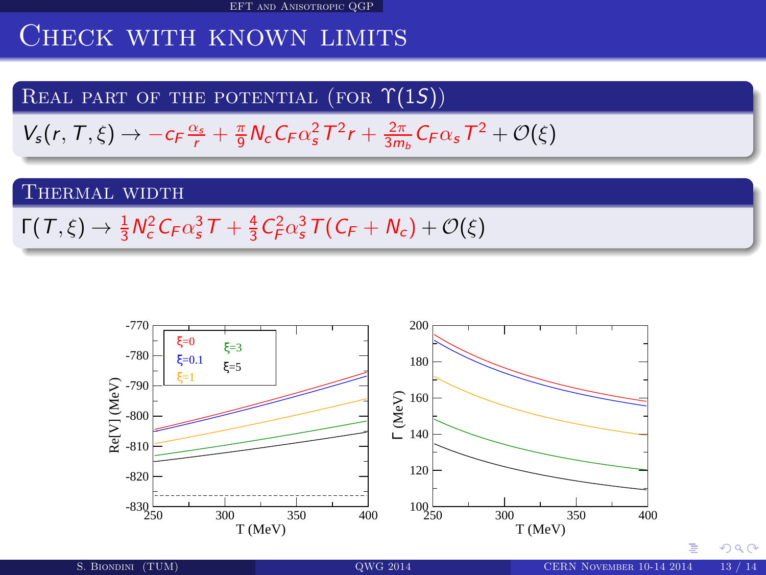[EFT and Anisotropic QGP](#page-12-0)

## CHECK WITH KNOWN LIMITS

### REAL PART OF THE POTENTIAL (FOR  $\Upsilon(1S)$ )

 $V_s(r, T, \xi) \rightarrow -c_F \frac{\alpha_s}{r} + \frac{\pi}{9} N_c C_F \alpha_s^2 T^2 r + \frac{2\pi}{3m_b} C_F \alpha_s T^2 + \mathcal{O}(\xi)$ 

### THERMAL WIDTH

 $\Gamma(T,\xi) \to \frac{1}{3} N_c^2 C_F \alpha_s^3 T + \frac{4}{3} C_F^2 \alpha_s^3 T (C_F + N_c) + \mathcal{O}(\xi)$ 



<span id="page-12-0"></span> $\Omega$